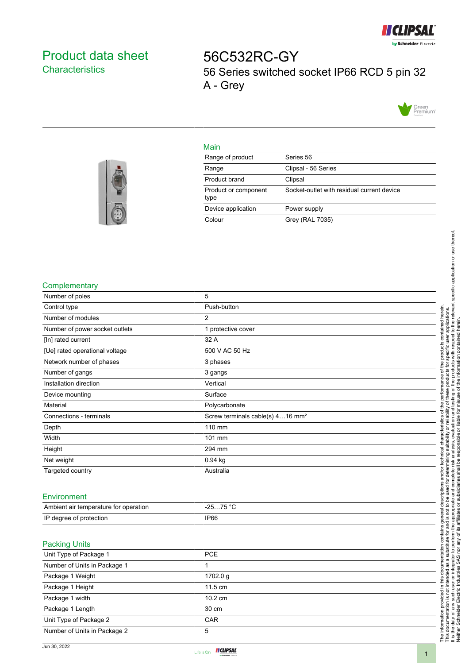

## <span id="page-0-0"></span>Product data sheet **Characteristics**

56C532RC-GY 56 Series switched socket IP66 RCD 5 pin 32 A - Grey



## Main

| Range of product             | Series 56                                  |
|------------------------------|--------------------------------------------|
| Range                        | Clipsal - 56 Series                        |
| Product brand                | Clipsal                                    |
| Product or component<br>type | Socket-outlet with residual current device |
| Device application           | Power supply                               |
| Colour                       | Grey (RAL 7035)                            |



## **Complementary**

| Number of poles                       | 5                                            |
|---------------------------------------|----------------------------------------------|
| Control type                          | Push-button                                  |
| Number of modules                     | 2                                            |
| Number of power socket outlets        | 1 protective cover                           |
| [In] rated current                    | 32 A                                         |
| [Ue] rated operational voltage        | 500 V AC 50 Hz                               |
| Network number of phases              | 3 phases                                     |
| Number of gangs                       | 3 gangs                                      |
| Installation direction                | Vertical                                     |
| Device mounting                       | Surface                                      |
| Material                              | Polycarbonate                                |
| Connections - terminals               | Screw terminals cable(s) 416 mm <sup>2</sup> |
| Depth                                 | 110 mm                                       |
| Width                                 | 101 mm                                       |
| Height                                | 294 mm                                       |
| Net weight                            | 0.94 kg                                      |
| Targeted country                      | Australia                                    |
| Environment                           |                                              |
| Ambient air temperature for operation | $-2575 °C$                                   |
| IP degree of protection               | <b>IP66</b>                                  |
|                                       |                                              |
| <b>Packing Units</b>                  |                                              |
| Unit Type of Package 1                | <b>PCE</b>                                   |
| Number of Units in Package 1          | 1                                            |
| Package 1 Weight                      | 1702.0 g                                     |
| Package 1 Height                      | 11.5 cm                                      |
| Package 1 width                       | 10.2 cm                                      |
| Package 1 Length                      | 30 cm                                        |
| Unit Type of Package 2                | CAR                                          |
| Number of Units in Package 2          | 5                                            |
|                                       |                                              |